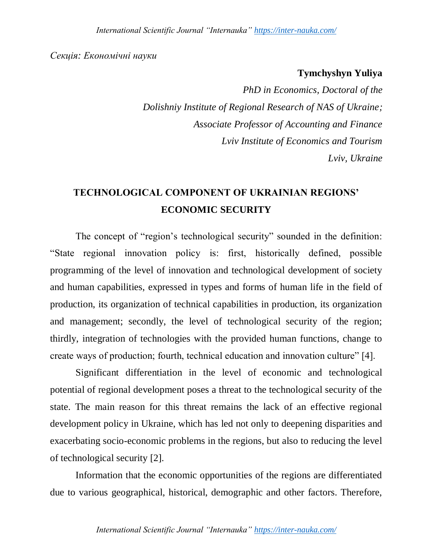### *Секція: Економічні науки*

## **Tymchyshyn Yuliya**

*PhD in Economics, Doctoral of the Dolishniy Institute of Regional Research of NAS of Ukraine; Associate Professor of Accounting and Finance Lviv Institute of Economics and Tourism Lviv, Ukraine*

# **TECHNOLOGICAL COMPONENT OF UKRAINIAN REGIONS' ECONOMIC SECURITY**

The concept of "region's technological security" sounded in the definition: "State regional innovation policy is: first, historically defined, possible programming of the level of innovation and technological development of society and human capabilities, expressed in types and forms of human life in the field of production, its organization of technical capabilities in production, its organization and management; secondly, the level of technological security of the region; thirdly, integration of technologies with the provided human functions, change to create ways of production; fourth, technical education and innovation culture" [4].

Significant differentiation in the level of economic and technological potential of regional development poses a threat to the technological security of the state. The main reason for this threat remains the lack of an effective regional development policy in Ukraine, which has led not only to deepening disparities and exacerbating socio-economic problems in the regions, but also to reducing the level of technological security [2].

Information that the economic opportunities of the regions are differentiated due to various geographical, historical, demographic and other factors. Therefore,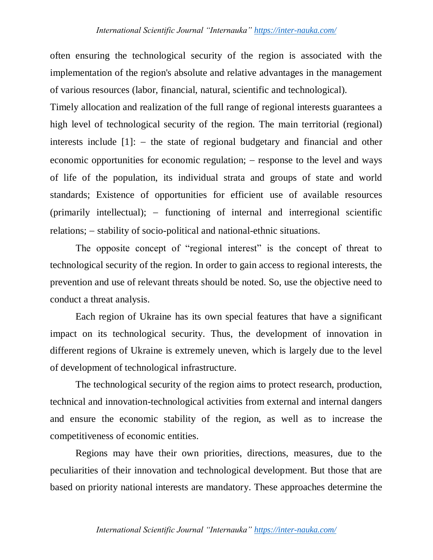often ensuring the technological security of the region is associated with the implementation of the region's absolute and relative advantages in the management of various resources (labor, financial, natural, scientific and technological).

Timely allocation and realization of the full range of regional interests guarantees a high level of technological security of the region. The main territorial (regional) interests include  $[1]$ :  $-$  the state of regional budgetary and financial and other economic opportunities for economic regulation;  $-$  response to the level and ways of life of the population, its individual strata and groups of state and world standards; Existence of opportunities for efficient use of available resources (primarily intellectual);  $-$  functioning of internal and interregional scientific relations;  $-$  stability of socio-political and national-ethnic situations.

The opposite concept of "regional interest" is the concept of threat to technological security of the region. In order to gain access to regional interests, the prevention and use of relevant threats should be noted. So, use the objective need to conduct a threat analysis.

Each region of Ukraine has its own special features that have a significant impact on its technological security. Thus, the development of innovation in different regions of Ukraine is extremely uneven, which is largely due to the level of development of technological infrastructure.

The technological security of the region aims to protect research, production, technical and innovation-technological activities from external and internal dangers and ensure the economic stability of the region, as well as to increase the competitiveness of economic entities.

Regions may have their own priorities, directions, measures, due to the peculiarities of their innovation and technological development. But those that are based on priority national interests are mandatory. These approaches determine the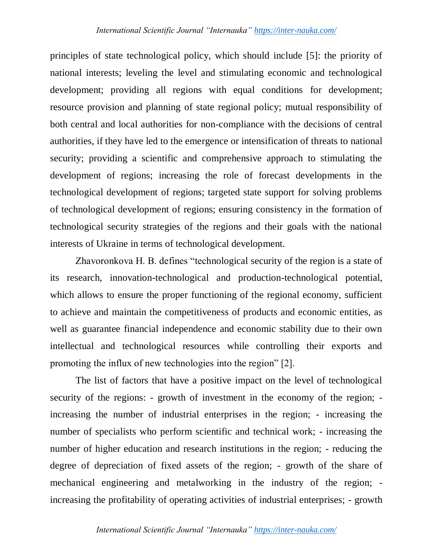principles of state technological policy, which should include [5]: the priority of national interests; leveling the level and stimulating economic and technological development; providing all regions with equal conditions for development; resource provision and planning of state regional policy; mutual responsibility of both central and local authorities for non-compliance with the decisions of central authorities, if they have led to the emergence or intensification of threats to national security; providing a scientific and comprehensive approach to stimulating the development of regions; increasing the role of forecast developments in the technological development of regions; targeted state support for solving problems of technological development of regions; ensuring consistency in the formation of technological security strategies of the regions and their goals with the national interests of Ukraine in terms of technological development.

Zhavoronkova H. B. defines "technological security of the region is a state of its research, innovation-technological and production-technological potential, which allows to ensure the proper functioning of the regional economy, sufficient to achieve and maintain the competitiveness of products and economic entities, as well as guarantee financial independence and economic stability due to their own intellectual and technological resources while controlling their exports and promoting the influx of new technologies into the region" [2].

The list of factors that have a positive impact on the level of technological security of the regions: - growth of investment in the economy of the region; increasing the number of industrial enterprises in the region; - increasing the number of specialists who perform scientific and technical work; - increasing the number of higher education and research institutions in the region; - reducing the degree of depreciation of fixed assets of the region; - growth of the share of mechanical engineering and metalworking in the industry of the region; increasing the profitability of operating activities of industrial enterprises; - growth

## *International Scientific Journal "Internauka" https://inter-nauka.com/*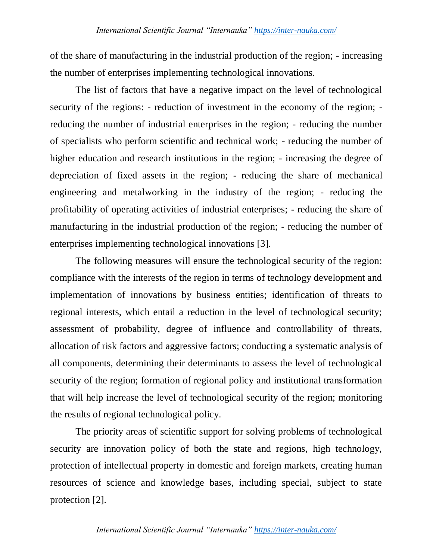of the share of manufacturing in the industrial production of the region; - increasing the number of enterprises implementing technological innovations.

The list of factors that have a negative impact on the level of technological security of the regions: - reduction of investment in the economy of the region; reducing the number of industrial enterprises in the region; - reducing the number of specialists who perform scientific and technical work; - reducing the number of higher education and research institutions in the region; - increasing the degree of depreciation of fixed assets in the region; - reducing the share of mechanical engineering and metalworking in the industry of the region; - reducing the profitability of operating activities of industrial enterprises; - reducing the share of manufacturing in the industrial production of the region; - reducing the number of enterprises implementing technological innovations [3].

The following measures will ensure the technological security of the region: compliance with the interests of the region in terms of technology development and implementation of innovations by business entities; identification of threats to regional interests, which entail a reduction in the level of technological security; assessment of probability, degree of influence and controllability of threats, allocation of risk factors and aggressive factors; conducting a systematic analysis of all components, determining their determinants to assess the level of technological security of the region; formation of regional policy and institutional transformation that will help increase the level of technological security of the region; monitoring the results of regional technological policy.

The priority areas of scientific support for solving problems of technological security are innovation policy of both the state and regions, high technology, protection of intellectual property in domestic and foreign markets, creating human resources of science and knowledge bases, including special, subject to state protection [2].